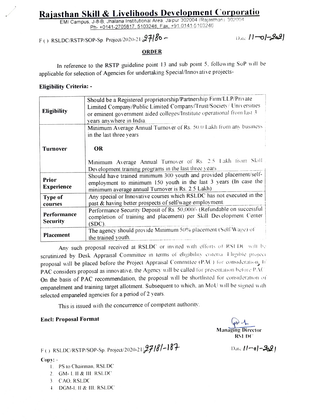# Rajasthan Skill & Livelihoods Development Corporatio EMI Campus, J-8-B, Jhalana Institutional Area, Jaipur 302004 (Rajasthan) 302004

Ph- +0141-2705817, 5103248, Fax, +91-0141-5103246

## F() RSLDC/RSTP/SOP-Sp. Project/2020-21/27180 - Date 11-01-2621

ORDER

In reference to the RSTP guideline point 13 and sub point 5, following SoP will be applicable for selection of Agencies for undertaking Special/Innovative projects-

#### Eligibility Criteria:

| <b>Eligibility</b>                | Should be a Registered proprietorship/Partnership Firm/LLP/Private<br>Limited Company/Public Limited Company/Trust/Society/ Universities<br>or eminent government aided colleges/Institute operational from last 3<br>years anywhere in India. |
|-----------------------------------|------------------------------------------------------------------------------------------------------------------------------------------------------------------------------------------------------------------------------------------------|
|                                   | Minimum Average Annual Turnover of Rs. 50.0 Lakh from any business<br>in the last three years                                                                                                                                                  |
| <b>Turnover</b>                   | <b>OR</b><br>Minimum Average Annual Turnover of Rs. 2.5 Lakh from Skill<br>Development training programs in the last three years                                                                                                               |
| <b>Prior</b><br><b>Experience</b> | Should have trained minimum 300 youth and provided placement/self-<br>employment to minimum 150 youth in the last 3 years (In case the<br>minimum average annual Turnover is Rs. 2.5 Lakh)                                                     |
| Type of<br>courses                | Any special or Innovative courses which RSLDC has not executed in the<br>past & having better prospects of self/wage employment.                                                                                                               |
| Performance<br><b>Security</b>    | Performance Security Deposit of Rs. 50,000/- (Refundable on successful<br>completion of training and placement) per Skill Development Center<br>$(SDC)$ .                                                                                      |
| Placement                         | The agency should provide Minimum 50% placement (Self/Wage) of<br>the trained youth.                                                                                                                                                           |

Any such proposal received at RSLDC or invited with efforts of RSLDC will be scrutinized by Desk Appraisal Committee in terms of eligibility enterma. Eligible project proposal will be placed before the Project Appraisal Committee (PAC) for consideration, if PAC considers proposal as innovative, the Agency will be called for presentation before PAC On the basis of PAC recommendation, the proposal will be shortlisted for consideration of empanelment and training target allotment. Subsequent to which. an MoU will be signed with selected empaneled agencies for a period of 2 years.

This is issued with the concurrence of competent authority.

#### Encl: Proposal Format A

Managing Director RSLDC

F() RSLDC/RSTP/SOP-Sp. Project/2020-21/**27181-187** Date 11-o1-2021

- Copy:- . PS to Chairman, RSLDC
	- 2. GM- I. II & III. RSLDC
	- 3 CAO. RSLDC
	- 4. DGM-1. II & III. RSLDC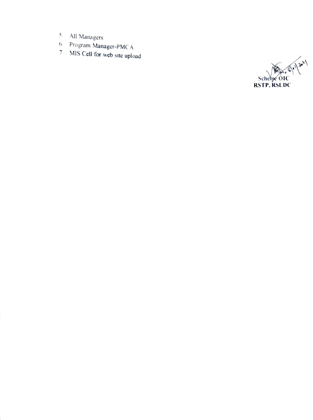- 
- 5. All Managers<br>6. Program Manager-PMCA
- 7 MIS Cell for web site upload

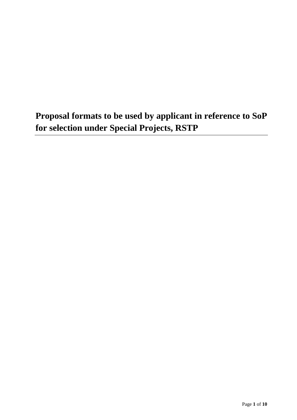**Proposal formats to be used by applicant in reference to SoP for selection under Special Projects, RSTP**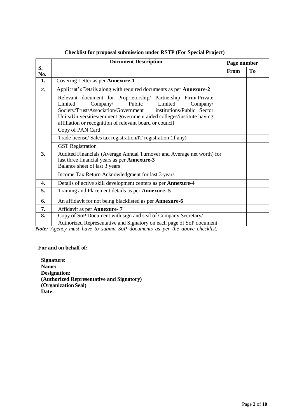|           | <b>Document Description</b>                                                                                                                                                                                                                                                                                                                           | Page number |                |  |  |  |
|-----------|-------------------------------------------------------------------------------------------------------------------------------------------------------------------------------------------------------------------------------------------------------------------------------------------------------------------------------------------------------|-------------|----------------|--|--|--|
| S.<br>No. |                                                                                                                                                                                                                                                                                                                                                       | From        | T <sub>0</sub> |  |  |  |
| 1.        | Covering Letter as per Annexure-1                                                                                                                                                                                                                                                                                                                     |             |                |  |  |  |
| 2.        | Applicant's Details along with required documents as per Annexure-2                                                                                                                                                                                                                                                                                   |             |                |  |  |  |
|           | Relevant document for Proprietorship/ Partnership Firm/ Private<br>Limited<br>Public<br>Limited<br>Company/<br>Company/<br>Society/Trust/Association/Government<br>institutions/Public Sector<br>Units/Universities/eminent government aided colleges/institute having<br>affiliation or recognition of relevant board or council<br>Copy of PAN Card |             |                |  |  |  |
|           | Trade license/ Sales tax registration/IT registration (if any)                                                                                                                                                                                                                                                                                        |             |                |  |  |  |
|           |                                                                                                                                                                                                                                                                                                                                                       |             |                |  |  |  |
|           | <b>GST</b> Registration                                                                                                                                                                                                                                                                                                                               |             |                |  |  |  |
| 3.        | Audited Financials (Average Annual Turnover and Average net worth) for<br>last three financial years as per Annexure-3                                                                                                                                                                                                                                |             |                |  |  |  |
|           | Balance sheet of last 3 years                                                                                                                                                                                                                                                                                                                         |             |                |  |  |  |
|           | Income Tax Return Acknowledgment for last 3 years                                                                                                                                                                                                                                                                                                     |             |                |  |  |  |
| 4.        | Details of active skill development centers as per Annexure-4                                                                                                                                                                                                                                                                                         |             |                |  |  |  |
| 5.        | Training and Placement details as per Annexure- 5                                                                                                                                                                                                                                                                                                     |             |                |  |  |  |
| 6.        | An affidavit for not being blacklisted as per Annexure-6                                                                                                                                                                                                                                                                                              |             |                |  |  |  |
| 7.        | Affidavit as per Annexure- 7                                                                                                                                                                                                                                                                                                                          |             |                |  |  |  |
| 8.        | Copy of SoP Document with sign and seal of Company Secretary/<br>Authorized Representative and Signatory on each page of SoP document                                                                                                                                                                                                                 |             |                |  |  |  |

#### **Checklist for proposal submission under RSTP (For Special Project)**

*Note: Agency must have to submit SoP documents as per the above checklist.*

#### **For and on behalf of:**

**Signature: Name: Designation: (Authorized Representative and Signatory) (Organization Seal) Date:**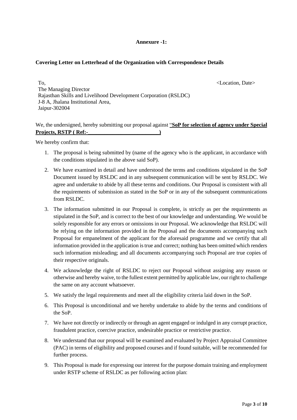#### **Annexure -1:**

#### **Covering Letter on Letterhead of the Organization with Correspondence Details**

To,  $\triangle$  Location, Date> The Managing Director Rajasthan Skills and Livelihood Development Corporation (RSLDC) J-8 A, Jhalana Institutional Area, Jaipur-302004

#### We, the undersigned, hereby submitting our proposal against "**SoP for selection of agency under Special Projects, RSTP ( Ref:-\_\_\_\_\_\_\_\_\_\_\_\_\_\_\_\_\_\_\_\_\_\_\_\_\_\_)**

We hereby confirm that:

- 1. The proposal is being submitted by (name of the agency who is the applicant, in accordance with the conditions stipulated in the above said SoP).
- 2. We have examined in detail and have understood the terms and conditions stipulated in the SoP Document issued by RSLDC and in any subsequent communication will be sent by RSLDC. We agree and undertake to abide by all these terms and conditions. Our Proposal is consistent with all the requirements of submission as stated in the SoP or in any of the subsequent communications from RSLDC.
- 3. The information submitted in our Proposal is complete, is strictly as per the requirements as stipulated in the SoP, and is correct to the best of our knowledge and understanding. We would be solely responsible for any errors or omissions in our Proposal. We acknowledge that RSLDC will be relying on the information provided in the Proposal and the documents accompanying such Proposal for empanelment of the applicant for the aforesaid programme and we certify that all information provided in the application is true and correct; nothing has been omitted which renders such information misleading; and all documents accompanying such Proposal are true copies of their respective originals.
- 4. We acknowledge the right of RSLDC to reject our Proposal without assigning any reason or otherwise and hereby waive, to the fullest extent permitted by applicable law, our right to challenge the same on any account whatsoever.
- 5. We satisfy the legal requirements and meet all the eligibility criteria laid down in the SoP.
- 6. This Proposal is unconditional and we hereby undertake to abide by the terms and conditions of the SoP.
- 7. We have not directly or indirectly or through an agent engaged or indulged in any corrupt practice, fraudulent practice, coercive practice, undesirable practice or restrictive practice.
- 8. We understand that our proposal will be examined and evaluated by Project Appraisal Committee (PAC) in terms of eligibility and proposed courses and if found suitable, will be recommended for further process.
- 9. This Proposal is made for expressing our interest for the purpose domain training and employment under RSTP scheme of RSLDC as per following action plan: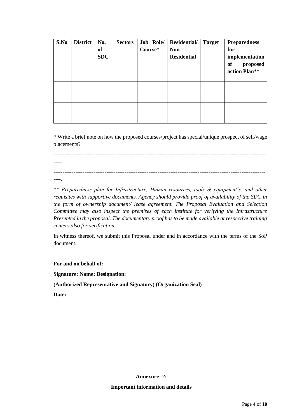| S.No | <b>District</b> | No.<br>of<br><b>SDC</b> | <b>Sectors</b> | Job Role/<br>Course* | Residential/<br><b>Non</b><br><b>Residential</b> | <b>Target</b> | <b>Preparedness</b><br>for<br>implementation<br><b>of</b><br>proposed<br>action Plan** |
|------|-----------------|-------------------------|----------------|----------------------|--------------------------------------------------|---------------|----------------------------------------------------------------------------------------|
|      |                 |                         |                |                      |                                                  |               |                                                                                        |
|      |                 |                         |                |                      |                                                  |               |                                                                                        |
|      |                 |                         |                |                      |                                                  |               |                                                                                        |
|      |                 |                         |                |                      |                                                  |               |                                                                                        |

\* Write a brief note on how the proposed courses/project has special/unique prospect of self/wage placements?

-----

--------------------------------------------------------------------------------------------------------------------

--------------------------------------------------------------------------------------------------------------------

----.

*\*\* Preparedness plan for Infrastructure, Human resources, tools & equipment's, and other requisites with supportive documents. Agency should provide proof of availability of the SDC in the form of ownership document/ lease agreement. The Proposal Evaluation and Selection Committee may also inspect the premises of each institute for verifying the Infrastructure Presented in the proposal. The documentary proof has to be made available at respective training centers also for verification.*

In witness thereof, we submit this Proposal under and in accordance with the terms of the SoP document.

**For and on behalf of:**

**Signature: Name: Designation:**

**(Authorized Representative and Signatory) (Organization Seal)**

**Date:**

**Annexure -2: Important information and details**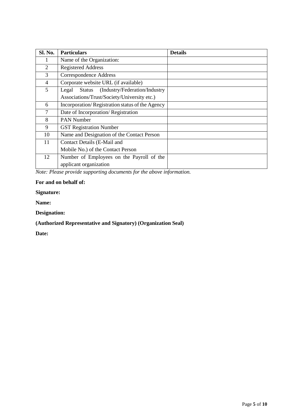| Sl. No. | <b>Particulars</b>                                      | <b>Details</b> |
|---------|---------------------------------------------------------|----------------|
|         | Name of the Organization:                               |                |
| 2       | <b>Registered Address</b>                               |                |
| 3       | Correspondence Address                                  |                |
| 4       | Corporate website URL (if available)                    |                |
| 5       | (Industry/Federation/Industry<br>Legal<br><b>Status</b> |                |
|         | Associations/Trust/Society/University etc.)             |                |
| 6       | Incorporation/Registration status of the Agency         |                |
| 7       | Date of Incorporation/Registration                      |                |
| 8       | <b>PAN Number</b>                                       |                |
| 9       | <b>GST Registration Number</b>                          |                |
| 10      | Name and Designation of the Contact Person              |                |
| 11      | Contact Details (E-Mail and                             |                |
|         | Mobile No.) of the Contact Person                       |                |
| 12      | Number of Employees on the Payroll of the               |                |
|         | applicant organization                                  |                |

*Note: Please provide supporting documents for the above information.* 

#### **For and on behalf of:**

**Signature:** 

**Name:** 

**Designation:**

### **(Authorized Representative and Signatory) (Organization Seal)**

**Date:**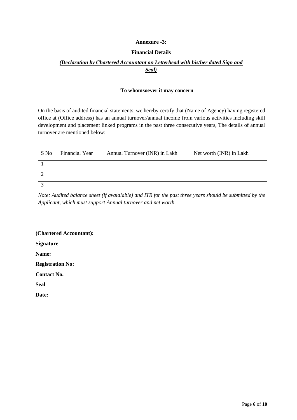#### **Annexure -3:**

#### **Financial Details**

#### *(Declaration by Chartered Accountant on Letterhead with his/her dated Sign and Seal)*

#### **To whomsoever it may concern**

On the basis of audited financial statements, we hereby certify that (Name of Agency) having registered office at (Office address) has an annual turnover/annual income from various activities including skill development and placement linked programs in the past three consecutive years, The details of annual turnover are mentioned below:

| S No | Financial Year | Annual Turnover (INR) in Lakh | Net worth (INR) in Lakh |
|------|----------------|-------------------------------|-------------------------|
|      |                |                               |                         |
|      |                |                               |                         |
|      |                |                               |                         |

*Note: Audited balance sheet (if avaialable) and ITR for the past three years should be submitted by the Applicant, which must support Annual turnover and net worth.*

**(Chartered Accountant):** 

**Signature**

**Name:**

**Registration No:** 

**Contact No.** 

**Seal**

**Date:**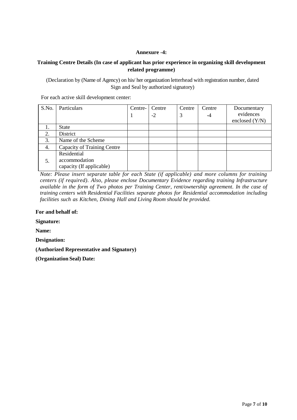#### **Annexure -4:**

#### **Training Centre Details (In case of applicant has prior experience in organizing skill development related programme)**

(Declaration by (Name of Agency) on his/ her organization letterhead with registration number, dated Sign and Seal by authorized signatory)

For each active skill development center:

| S.No. | Particulars                 | Centre- | Centre | Centre | Centre | Documentary      |
|-------|-----------------------------|---------|--------|--------|--------|------------------|
|       |                             |         | $-2$   |        | -4     | evidences        |
|       |                             |         |        |        |        | enclosed $(Y/N)$ |
|       | <b>State</b>                |         |        |        |        |                  |
| 2.    | District                    |         |        |        |        |                  |
| 3.    | Name of the Scheme          |         |        |        |        |                  |
| 4.    | Capacity of Training Centre |         |        |        |        |                  |
|       | Residential                 |         |        |        |        |                  |
| 5.    | accommodation               |         |        |        |        |                  |
|       | capacity (If applicable)    |         |        |        |        |                  |

*Note: Please insert separate table for each State (if applicable) and more columns for training centers (if required). Also, please enclose Documentary Evidence regarding training Infrastructure available in the form of Two photos per Training Center, rent/ownership agreement. In the case of training centers with Residential Facilities separate photos for Residential accommodation including facilities such as Kitchen, Dining Hall and Living Room should be provided.*

#### **For and behalf of:**

**Signature:**

**Name:** 

**Designation:**

**(Authorized Representative and Signatory)**

**(Organization Seal) Date:**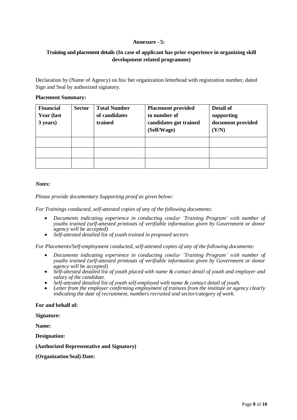#### **Annexure - 5:**

#### **Training and placement details (In case of applicant has prior experience in organizing skill development related programme)**

Declaration by (Name of Agency) on his/ her organization letterhead with registration number, dated Sign and Seal by authorized signatory.

#### **Placement Summary:**

| <b>Financial</b><br><b>Year (last)</b><br>3 years) | <b>Sector</b> | <b>Total Number</b><br>of candidates<br>trained | <b>Placement provided</b><br>to number of<br>candidates got trained<br>(Self/Wage) | Detail of<br>supporting<br>document provided<br>(Y/N) |
|----------------------------------------------------|---------------|-------------------------------------------------|------------------------------------------------------------------------------------|-------------------------------------------------------|
|                                                    |               |                                                 |                                                                                    |                                                       |
|                                                    |               |                                                 |                                                                                    |                                                       |
|                                                    |               |                                                 |                                                                                    |                                                       |

#### *Notes:*

*Please provide documentary Supporting proof as given below:*

*For Trainings conducted, self-attested copies of any of the following documents:*

- *Documents indicating experience in conducting similar 'Training Program' with number of youths trained (self-attested printouts of verifiable information given by Government or donor agency will be accepted)*
- *Self-attested detailed list of youth trained in proposed sectors*

*For Placements/Self-employment conducted, self-attested copies of any of the following documents:*

- *Documents indicating experience in conducting similar 'Training Program' with number of youths trained (self-attested printouts of verifiable information given by Government or donor agency will be accepted)*
- *Self-attested detailed list of youth placed with name & contact detail of youth and employer and salary of the candidate.*
- *Self-attested detailed list of youth self-employed with name & contact detail of youth.*
- *Letter from the employer confirming employment of trainees from the institute or agency clearly indicating the date of recruitment, numbers recruited and sector/category of work.*

#### **For and behalf of:**

**Signature:**

**Name:** 

**Designation:**

#### **(Authorized Representative and Signatory)**

**(Organization Seal) Date:**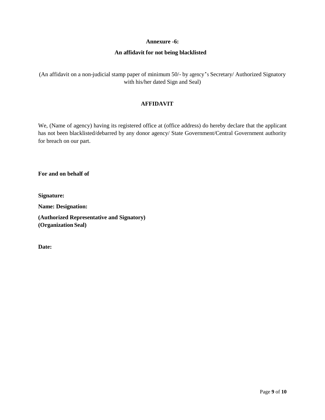#### **Annexure -6:**

#### **An affidavit for not being blacklisted**

(An affidavit on a non-judicial stamp paper of minimum 50/- by agency's Secretary/ Authorized Signatory with his/her dated Sign and Seal)

#### **AFFIDAVIT**

We, (Name of agency) having its registered office at (office address) do hereby declare that the applicant has not been blacklisted/debarred by any donor agency/ State Government/Central Government authority for breach on our part.

**For and on behalf of** 

**Signature:**

**Name: Designation:**

**(Authorized Representative and Signatory) (Organization Seal)**

**Date:**